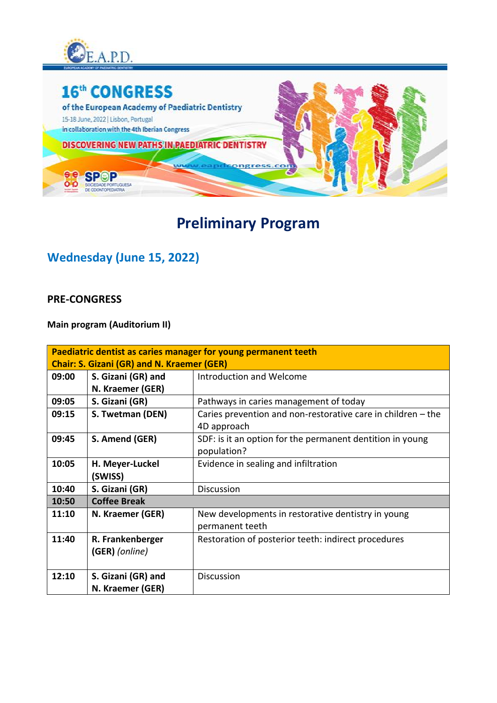



## **Preliminary Program**

### **Wednesday (June 15, 2022)**

#### **PRE-CONGRESS**

**Main program (Auditorium II)**

| Paediatric dentist as caries manager for young permanent teeth |                     |                                                              |
|----------------------------------------------------------------|---------------------|--------------------------------------------------------------|
| <b>Chair: S. Gizani (GR) and N. Kraemer (GER)</b>              |                     |                                                              |
| 09:00                                                          | S. Gizani (GR) and  | Introduction and Welcome                                     |
|                                                                | N. Kraemer (GER)    |                                                              |
| 09:05                                                          | S. Gizani (GR)      | Pathways in caries management of today                       |
| 09:15                                                          | S. Twetman (DEN)    | Caries prevention and non-restorative care in children - the |
|                                                                |                     | 4D approach                                                  |
| 09:45                                                          | S. Amend (GER)      | SDF: is it an option for the permanent dentition in young    |
|                                                                |                     | population?                                                  |
| 10:05                                                          | H. Meyer-Luckel     | Evidence in sealing and infiltration                         |
|                                                                | (SWISS)             |                                                              |
| 10:40                                                          | S. Gizani (GR)      | <b>Discussion</b>                                            |
| 10:50                                                          | <b>Coffee Break</b> |                                                              |
| 11:10                                                          | N. Kraemer (GER)    | New developments in restorative dentistry in young           |
|                                                                |                     | permanent teeth                                              |
| 11:40                                                          | R. Frankenberger    | Restoration of posterior teeth: indirect procedures          |
|                                                                | (GER) (online)      |                                                              |
|                                                                |                     |                                                              |
| 12:10                                                          | S. Gizani (GR) and  | <b>Discussion</b>                                            |
|                                                                | N. Kraemer (GER)    |                                                              |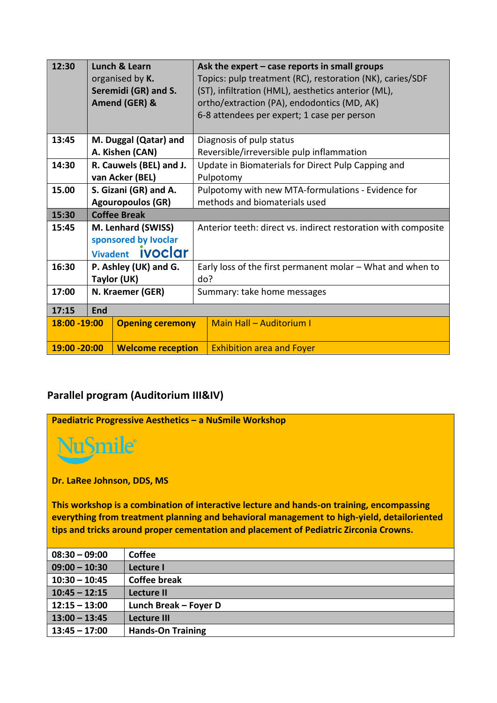| 12:30                                     | Lunch & Learn          |                          |                                  | Ask the expert $-$ case reports in small groups                |
|-------------------------------------------|------------------------|--------------------------|----------------------------------|----------------------------------------------------------------|
|                                           |                        | organised by K.          |                                  | Topics: pulp treatment (RC), restoration (NK), caries/SDF      |
|                                           |                        | Seremidi (GR) and S.     |                                  | (ST), infiltration (HML), aesthetics anterior (ML),            |
|                                           |                        | Amend (GER) &            |                                  | ortho/extraction (PA), endodontics (MD, AK)                    |
|                                           |                        |                          |                                  | 6-8 attendees per expert; 1 case per person                    |
|                                           |                        |                          |                                  |                                                                |
| 13:45                                     |                        | M. Duggal (Qatar) and    |                                  | Diagnosis of pulp status                                       |
|                                           |                        | A. Kishen (CAN)          |                                  | Reversible/irreversible pulp inflammation                      |
| 14:30                                     |                        | R. Cauwels (BEL) and J.  |                                  | Update in Biomaterials for Direct Pulp Capping and             |
|                                           |                        | van Acker (BEL)          |                                  | Pulpotomy                                                      |
| 15.00                                     | S. Gizani (GR) and A.  |                          |                                  | Pulpotomy with new MTA-formulations - Evidence for             |
|                                           |                        | <b>Agouropoulos (GR)</b> | methods and biomaterials used    |                                                                |
| 15:30                                     | <b>Coffee Break</b>    |                          |                                  |                                                                |
| 15:45                                     | M. Lenhard (SWISS)     |                          |                                  | Anterior teeth: direct vs. indirect restoration with composite |
|                                           | sponsored by Ivoclar   |                          |                                  |                                                                |
|                                           | Vivadent <b>iVOCOT</b> |                          |                                  |                                                                |
| 16:30                                     |                        | P. Ashley (UK) and G.    |                                  | Early loss of the first permanent molar - What and when to     |
|                                           | Taylor (UK)            |                          | do?                              |                                                                |
| 17:00                                     | N. Kraemer (GER)       |                          | Summary: take home messages      |                                                                |
| 17:15                                     | End                    |                          |                                  |                                                                |
|                                           | 18:00 - 19:00          |                          |                                  |                                                                |
|                                           |                        | <b>Opening ceremony</b>  |                                  | <b>Main Hall - Auditorium I</b>                                |
| 19:00 - 20:00<br><b>Welcome reception</b> |                        |                          | <b>Exhibition area and Foyer</b> |                                                                |

#### **Parallel program (Auditorium III&IV)**

**Paediatric Progressive Aesthetics – a NuSmile Workshop** 

**u**Smile®

**Dr. LaRee Johnson, DDS, MS** 

**This workshop is a combination of interactive lecture and hands-on training, encompassing everything from treatment planning and behavioral management to high-yield, detailoriented tips and tricks around proper cementation and placement of Pediatric Zirconia Crowns.**

| <b>Coffee</b>            |
|--------------------------|
|                          |
| Lecture I                |
| <b>Coffee break</b>      |
|                          |
|                          |
| Lecture II               |
| Lunch Break - Foyer D    |
|                          |
| Lecture III              |
|                          |
|                          |
| <b>Hands-On Training</b> |
|                          |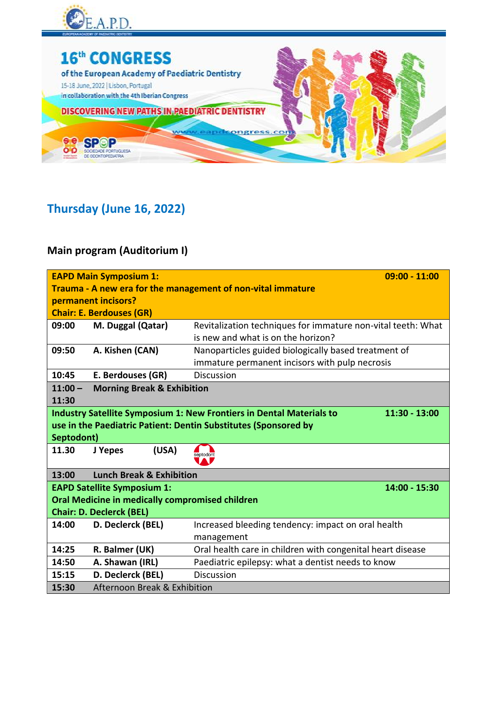



## **Thursday (June 16, 2022)**

### **Main program (Auditorium I)**

|                                                                 | <b>EAPD Main Symposium 1:</b>                   | $09:00 - 11:00$                                                                                |  |  |  |
|-----------------------------------------------------------------|-------------------------------------------------|------------------------------------------------------------------------------------------------|--|--|--|
| Trauma - A new era for the management of non-vital immature     |                                                 |                                                                                                |  |  |  |
|                                                                 | permanent incisors?                             |                                                                                                |  |  |  |
|                                                                 | <b>Chair: E. Berdouses (GR)</b>                 |                                                                                                |  |  |  |
| 09:00                                                           | M. Duggal (Qatar)                               | Revitalization techniques for immature non-vital teeth: What                                   |  |  |  |
|                                                                 |                                                 | is new and what is on the horizon?                                                             |  |  |  |
| 09:50                                                           | A. Kishen (CAN)                                 | Nanoparticles guided biologically based treatment of                                           |  |  |  |
|                                                                 |                                                 | immature permanent incisors with pulp necrosis                                                 |  |  |  |
| 10:45                                                           | E. Berdouses (GR)                               | <b>Discussion</b>                                                                              |  |  |  |
| $11:00 -$                                                       | <b>Morning Break &amp; Exhibition</b>           |                                                                                                |  |  |  |
| 11:30                                                           |                                                 |                                                                                                |  |  |  |
|                                                                 |                                                 | <b>Industry Satellite Symposium 1: New Frontiers in Dental Materials to</b><br>$11:30 - 13:00$ |  |  |  |
| use in the Paediatric Patient: Dentin Substitutes (Sponsored by |                                                 |                                                                                                |  |  |  |
| Septodont)                                                      |                                                 |                                                                                                |  |  |  |
| 11.30                                                           | (USA)<br>J Yepes                                | septodont                                                                                      |  |  |  |
|                                                                 |                                                 |                                                                                                |  |  |  |
| 13:00                                                           | <b>Lunch Break &amp; Exhibition</b>             |                                                                                                |  |  |  |
|                                                                 | <b>EAPD Satellite Symposium 1:</b>              | 14:00 - 15:30                                                                                  |  |  |  |
|                                                                 | Oral Medicine in medically compromised children |                                                                                                |  |  |  |
|                                                                 | <b>Chair: D. Declerck (BEL)</b>                 |                                                                                                |  |  |  |
| 14:00                                                           |                                                 |                                                                                                |  |  |  |
|                                                                 | D. Declerck (BEL)                               | Increased bleeding tendency: impact on oral health                                             |  |  |  |
|                                                                 |                                                 | management                                                                                     |  |  |  |
| 14:25                                                           | R. Balmer (UK)                                  | Oral health care in children with congenital heart disease                                     |  |  |  |
| 14:50                                                           | A. Shawan (IRL)                                 | Paediatric epilepsy: what a dentist needs to know                                              |  |  |  |
| 15:15                                                           | D. Declerck (BEL)                               | <b>Discussion</b>                                                                              |  |  |  |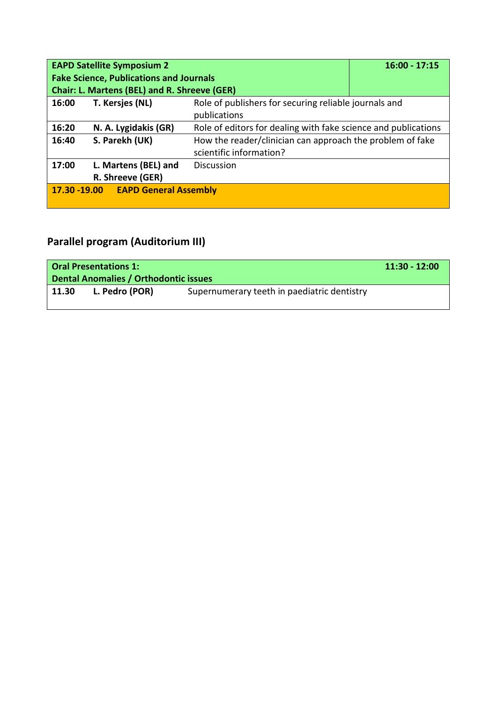|       | <b>EAPD Satellite Symposium 2</b><br>$16:00 - 17:15$ |                                                                |  |  |  |
|-------|------------------------------------------------------|----------------------------------------------------------------|--|--|--|
|       | <b>Fake Science, Publications and Journals</b>       |                                                                |  |  |  |
|       | <b>Chair: L. Martens (BEL) and R. Shreeve (GER)</b>  |                                                                |  |  |  |
| 16:00 | T. Kersjes (NL)                                      | Role of publishers for securing reliable journals and          |  |  |  |
|       |                                                      | publications                                                   |  |  |  |
| 16:20 | N. A. Lygidakis (GR)                                 | Role of editors for dealing with fake science and publications |  |  |  |
| 16:40 | S. Parekh (UK)                                       | How the reader/clinician can approach the problem of fake      |  |  |  |
|       |                                                      | scientific information?                                        |  |  |  |
| 17:00 | L. Martens (BEL) and                                 | <b>Discussion</b>                                              |  |  |  |
|       | R. Shreeve (GER)                                     |                                                                |  |  |  |
|       | 17.30 -19.00 EAPD General Assembly                   |                                                                |  |  |  |
|       |                                                      |                                                                |  |  |  |

## **Parallel program (Auditorium III)**

| <b>Oral Presentations 1:</b><br>Dental Anomalies / Orthodontic issues |                |                                             | $11:30 - 12:00$ |
|-----------------------------------------------------------------------|----------------|---------------------------------------------|-----------------|
| 11.30                                                                 | L. Pedro (POR) | Supernumerary teeth in paediatric dentistry |                 |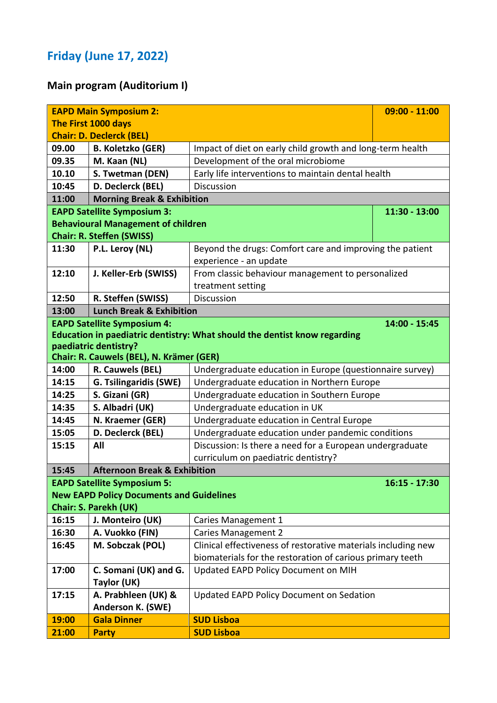## **Friday (June 17, 2022)**

## **Main program (Auditorium I)**

|       | <b>EAPD Main Symposium 2:</b><br>$09:00 - 11:00$ |                                                                           |                 |
|-------|--------------------------------------------------|---------------------------------------------------------------------------|-----------------|
|       | The First 1000 days                              |                                                                           |                 |
|       | <b>Chair: D. Declerck (BEL)</b>                  |                                                                           |                 |
| 09.00 | <b>B. Koletzko (GER)</b>                         | Impact of diet on early child growth and long-term health                 |                 |
| 09.35 | M. Kaan (NL)                                     | Development of the oral microbiome                                        |                 |
| 10.10 | S. Twetman (DEN)                                 | Early life interventions to maintain dental health                        |                 |
| 10:45 | D. Declerck (BEL)                                | <b>Discussion</b>                                                         |                 |
| 11:00 | <b>Morning Break &amp; Exhibition</b>            |                                                                           |                 |
|       | <b>EAPD Satellite Symposium 3:</b>               |                                                                           | 11:30 - 13:00   |
|       | <b>Behavioural Management of children</b>        |                                                                           |                 |
|       | <b>Chair: R. Steffen (SWISS)</b>                 |                                                                           |                 |
| 11:30 | P.L. Leroy (NL)                                  | Beyond the drugs: Comfort care and improving the patient                  |                 |
|       |                                                  | experience - an update                                                    |                 |
| 12:10 | J. Keller-Erb (SWISS)                            | From classic behaviour management to personalized                         |                 |
|       |                                                  | treatment setting                                                         |                 |
| 12:50 | R. Steffen (SWISS)                               | Discussion                                                                |                 |
| 13:00 | <b>Lunch Break &amp; Exhibition</b>              |                                                                           |                 |
|       | <b>EAPD Satellite Symposium 4:</b>               |                                                                           | 14:00 - 15:45   |
|       |                                                  | Education in paediatric dentistry: What should the dentist know regarding |                 |
|       | paediatric dentistry?                            |                                                                           |                 |
|       | Chair: R. Cauwels (BEL), N. Krämer (GER)         |                                                                           |                 |
| 14:00 | R. Cauwels (BEL)                                 | Undergraduate education in Europe (questionnaire survey)                  |                 |
| 14:15 | G. Tsilingaridis (SWE)                           | Undergraduate education in Northern Europe                                |                 |
| 14:25 | S. Gizani (GR)                                   | Undergraduate education in Southern Europe                                |                 |
| 14:35 | S. Albadri (UK)                                  | Undergraduate education in UK                                             |                 |
| 14:45 | N. Kraemer (GER)                                 | Undergraduate education in Central Europe                                 |                 |
| 15:05 | D. Declerck (BEL)                                | Undergraduate education under pandemic conditions                         |                 |
| 15:15 | All                                              | Discussion: Is there a need for a European undergraduate                  |                 |
|       |                                                  | curriculum on paediatric dentistry?                                       |                 |
| 15:45 | <b>Afternoon Break &amp; Exhibition</b>          |                                                                           |                 |
|       | <b>EAPD Satellite Symposium 5:</b>               |                                                                           | $16:15 - 17:30$ |
|       | <b>New EAPD Policy Documents and Guidelines</b>  |                                                                           |                 |
|       | <b>Chair: S. Parekh (UK)</b>                     |                                                                           |                 |
| 16:15 | J. Monteiro (UK)                                 | Caries Management 1                                                       |                 |
| 16:30 | A. Vuokko (FIN)                                  | <b>Caries Management 2</b>                                                |                 |
| 16:45 | M. Sobczak (POL)                                 | Clinical effectiveness of restorative materials including new             |                 |
|       |                                                  | biomaterials for the restoration of carious primary teeth                 |                 |
| 17:00 | C. Somani (UK) and G.                            | Updated EAPD Policy Document on MIH                                       |                 |
|       | Taylor (UK)                                      |                                                                           |                 |
| 17:15 | A. Prabhleen (UK) &                              | <b>Updated EAPD Policy Document on Sedation</b>                           |                 |
|       | Anderson K. (SWE)                                |                                                                           |                 |
| 19:00 | <b>Gala Dinner</b>                               | <b>SUD Lisboa</b>                                                         |                 |
| 21:00 | <b>Party</b>                                     | <b>SUD Lisboa</b>                                                         |                 |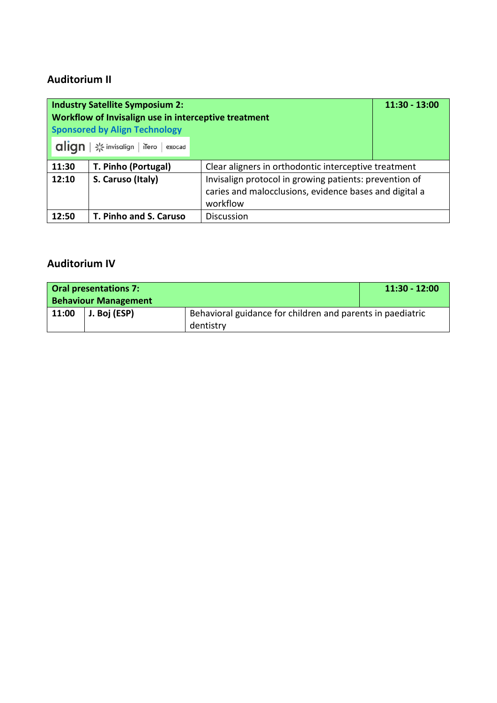### **Auditorium II**

| <b>Industry Satellite Symposium 2:</b><br>Workflow of Invisalign use in interceptive treatment<br><b>Sponsored by Align Technology</b> | $11:30 - 13:00$        |                                                        |  |  |
|----------------------------------------------------------------------------------------------------------------------------------------|------------------------|--------------------------------------------------------|--|--|
| align<br>* invisalign   iTero   exocad                                                                                                 |                        |                                                        |  |  |
| 11:30                                                                                                                                  | T. Pinho (Portugal)    | Clear aligners in orthodontic interceptive treatment   |  |  |
| 12:10                                                                                                                                  | S. Caruso (Italy)      | Invisalign protocol in growing patients: prevention of |  |  |
|                                                                                                                                        |                        | caries and malocclusions, evidence bases and digital a |  |  |
|                                                                                                                                        |                        | workflow                                               |  |  |
| 12:50                                                                                                                                  | T. Pinho and S. Caruso | <b>Discussion</b>                                      |  |  |

### **Auditorium IV**

| <b>Oral presentations 7:</b> |                             |                                                            | $11:30 - 12:00$ |
|------------------------------|-----------------------------|------------------------------------------------------------|-----------------|
|                              | <b>Behaviour Management</b> |                                                            |                 |
| 11:00                        | J. Boj (ESP)                | Behavioral guidance for children and parents in paediatric |                 |
|                              |                             | dentistry                                                  |                 |